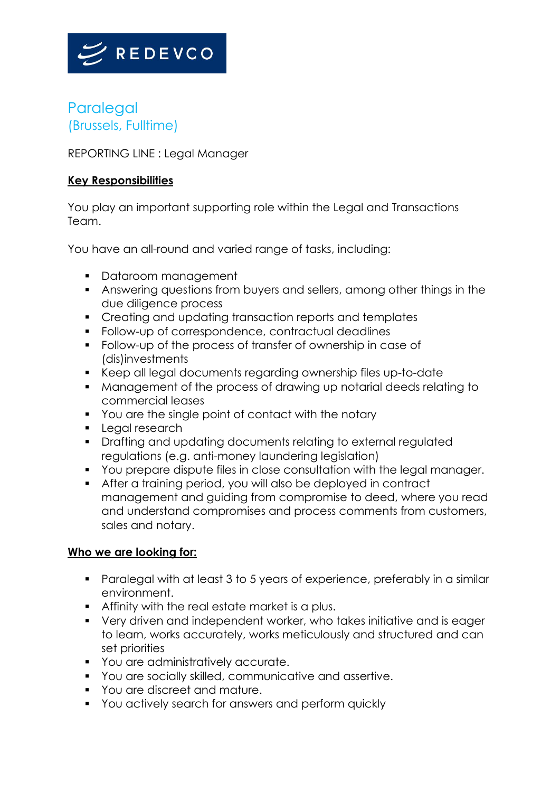

## **Paralegal** (Brussels, Fulltime)

REPORTING LINE : Legal Manager

## **Key Responsibilities**

You play an important supporting role within the Legal and Transactions Team.

You have an all-round and varied range of tasks, including:

- Dataroom management
- Answering questions from buyers and sellers, among other things in the due diligence process
- Creating and updating transaction reports and templates
- Follow-up of correspondence, contractual deadlines
- Follow-up of the process of transfer of ownership in case of (dis)investments
- Keep all legal documents regarding ownership files up-to-date
- Management of the process of drawing up notarial deeds relating to commercial leases
- You are the single point of contact with the notary
- Legal research
- Drafting and updating documents relating to external regulated regulations (e.g. anti-money laundering legislation)
- You prepare dispute files in close consultation with the legal manager.
- After a training period, you will also be deployed in contract management and guiding from compromise to deed, where you read and understand compromises and process comments from customers, sales and notary.

## **Who we are looking for:**

- Paralegal with at least 3 to 5 years of experience, preferably in a similar environment.
- Affinity with the real estate market is a plus.
- Very driven and independent worker, who takes initiative and is eager to learn, works accurately, works meticulously and structured and can set priorities
- You are administratively accurate.
- You are socially skilled, communicative and assertive.
- You are discreet and mature.
- You actively search for answers and perform quickly